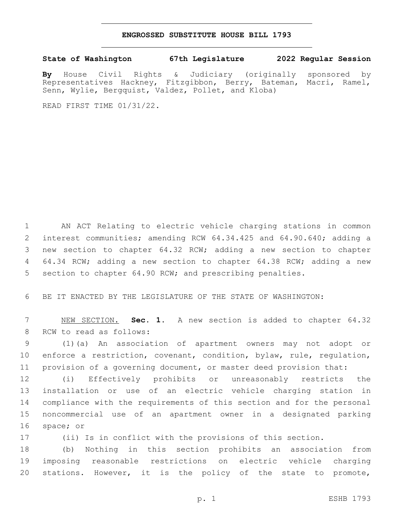## **ENGROSSED SUBSTITUTE HOUSE BILL 1793**

**State of Washington 67th Legislature 2022 Regular Session**

**By** House Civil Rights & Judiciary (originally sponsored by Representatives Hackney, Fitzgibbon, Berry, Bateman, Macri, Ramel, Senn, Wylie, Bergquist, Valdez, Pollet, and Kloba)

READ FIRST TIME 01/31/22.

 AN ACT Relating to electric vehicle charging stations in common interest communities; amending RCW 64.34.425 and 64.90.640; adding a new section to chapter 64.32 RCW; adding a new section to chapter 64.34 RCW; adding a new section to chapter 64.38 RCW; adding a new 5 section to chapter 64.90 RCW; and prescribing penalties.

BE IT ENACTED BY THE LEGISLATURE OF THE STATE OF WASHINGTON:

 NEW SECTION. **Sec. 1.** A new section is added to chapter 64.32 8 RCW to read as follows:

 (1)(a) An association of apartment owners may not adopt or enforce a restriction, covenant, condition, bylaw, rule, regulation, provision of a governing document, or master deed provision that:

 (i) Effectively prohibits or unreasonably restricts the installation or use of an electric vehicle charging station in compliance with the requirements of this section and for the personal noncommercial use of an apartment owner in a designated parking 16 space; or

(ii) Is in conflict with the provisions of this section.

 (b) Nothing in this section prohibits an association from imposing reasonable restrictions on electric vehicle charging stations. However, it is the policy of the state to promote,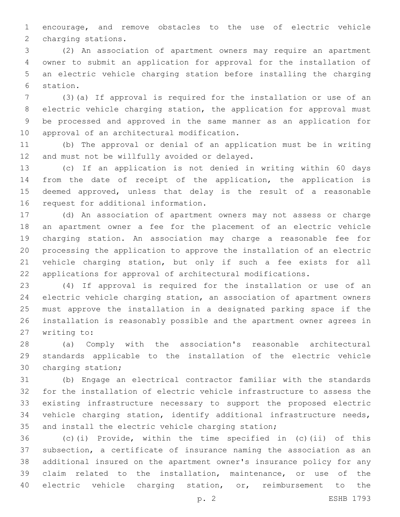encourage, and remove obstacles to the use of electric vehicle 2 charging stations.

 (2) An association of apartment owners may require an apartment owner to submit an application for approval for the installation of an electric vehicle charging station before installing the charging 6 station.

 (3)(a) If approval is required for the installation or use of an electric vehicle charging station, the application for approval must be processed and approved in the same manner as an application for 10 approval of an architectural modification.

 (b) The approval or denial of an application must be in writing 12 and must not be willfully avoided or delayed.

 (c) If an application is not denied in writing within 60 days from the date of receipt of the application, the application is deemed approved, unless that delay is the result of a reasonable 16 request for additional information.

 (d) An association of apartment owners may not assess or charge an apartment owner a fee for the placement of an electric vehicle charging station. An association may charge a reasonable fee for processing the application to approve the installation of an electric vehicle charging station, but only if such a fee exists for all applications for approval of architectural modifications.

 (4) If approval is required for the installation or use of an electric vehicle charging station, an association of apartment owners must approve the installation in a designated parking space if the installation is reasonably possible and the apartment owner agrees in 27 writing to:

 (a) Comply with the association's reasonable architectural standards applicable to the installation of the electric vehicle 30 charging station;

 (b) Engage an electrical contractor familiar with the standards for the installation of electric vehicle infrastructure to assess the existing infrastructure necessary to support the proposed electric vehicle charging station, identify additional infrastructure needs, and install the electric vehicle charging station;

 (c)(i) Provide, within the time specified in (c)(ii) of this subsection, a certificate of insurance naming the association as an additional insured on the apartment owner's insurance policy for any claim related to the installation, maintenance, or use of the electric vehicle charging station, or, reimbursement to the

p. 2 ESHB 1793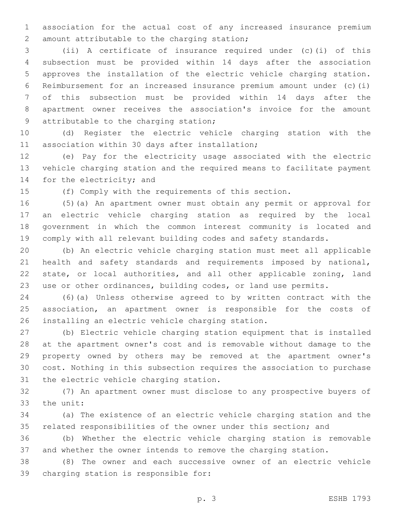association for the actual cost of any increased insurance premium 2 amount attributable to the charging station;

 (ii) A certificate of insurance required under (c)(i) of this subsection must be provided within 14 days after the association approves the installation of the electric vehicle charging station. Reimbursement for an increased insurance premium amount under (c)(i) of this subsection must be provided within 14 days after the apartment owner receives the association's invoice for the amount 9 attributable to the charging station;

 (d) Register the electric vehicle charging station with the 11 association within 30 days after installation;

 (e) Pay for the electricity usage associated with the electric vehicle charging station and the required means to facilitate payment 14 for the electricity; and

(f) Comply with the requirements of this section.

 (5)(a) An apartment owner must obtain any permit or approval for an electric vehicle charging station as required by the local government in which the common interest community is located and comply with all relevant building codes and safety standards.

 (b) An electric vehicle charging station must meet all applicable health and safety standards and requirements imposed by national, state, or local authorities, and all other applicable zoning, land use or other ordinances, building codes, or land use permits.

 (6)(a) Unless otherwise agreed to by written contract with the association, an apartment owner is responsible for the costs of 26 installing an electric vehicle charging station.

 (b) Electric vehicle charging station equipment that is installed at the apartment owner's cost and is removable without damage to the property owned by others may be removed at the apartment owner's cost. Nothing in this subsection requires the association to purchase 31 the electric vehicle charging station.

 (7) An apartment owner must disclose to any prospective buyers of 33 the unit:

 (a) The existence of an electric vehicle charging station and the related responsibilities of the owner under this section; and

 (b) Whether the electric vehicle charging station is removable and whether the owner intends to remove the charging station.

 (8) The owner and each successive owner of an electric vehicle 39 charging station is responsible for: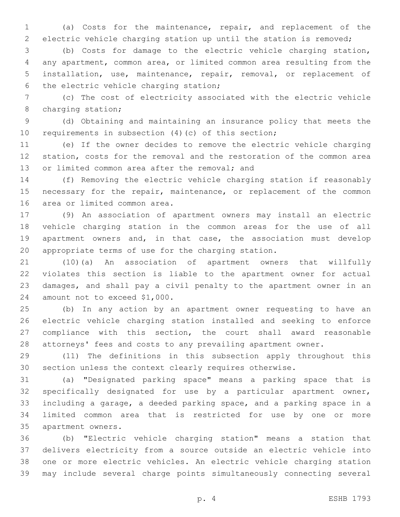(a) Costs for the maintenance, repair, and replacement of the electric vehicle charging station up until the station is removed;

 (b) Costs for damage to the electric vehicle charging station, any apartment, common area, or limited common area resulting from the installation, use, maintenance, repair, removal, or replacement of 6 the electric vehicle charging station;

 (c) The cost of electricity associated with the electric vehicle 8 charging station;

 (d) Obtaining and maintaining an insurance policy that meets the requirements in subsection (4)(c) of this section;

 (e) If the owner decides to remove the electric vehicle charging station, costs for the removal and the restoration of the common area 13 or limited common area after the removal; and

 (f) Removing the electric vehicle charging station if reasonably 15 necessary for the repair, maintenance, or replacement of the common 16 area or limited common area.

 (9) An association of apartment owners may install an electric vehicle charging station in the common areas for the use of all apartment owners and, in that case, the association must develop appropriate terms of use for the charging station.

 (10)(a) An association of apartment owners that willfully violates this section is liable to the apartment owner for actual damages, and shall pay a civil penalty to the apartment owner in an 24 amount not to exceed \$1,000.

 (b) In any action by an apartment owner requesting to have an electric vehicle charging station installed and seeking to enforce compliance with this section, the court shall award reasonable attorneys' fees and costs to any prevailing apartment owner.

 (11) The definitions in this subsection apply throughout this section unless the context clearly requires otherwise.

 (a) "Designated parking space" means a parking space that is specifically designated for use by a particular apartment owner, including a garage, a deeded parking space, and a parking space in a limited common area that is restricted for use by one or more 35 apartment owners.

 (b) "Electric vehicle charging station" means a station that delivers electricity from a source outside an electric vehicle into one or more electric vehicles. An electric vehicle charging station may include several charge points simultaneously connecting several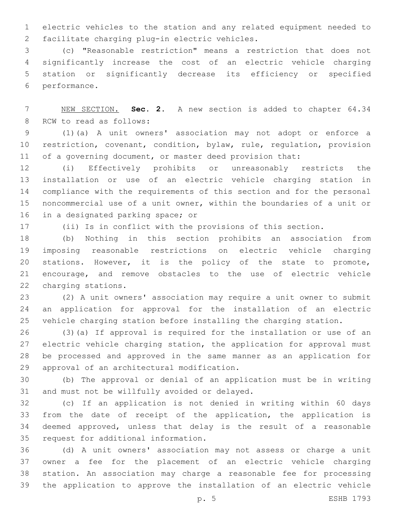electric vehicles to the station and any related equipment needed to 2 facilitate charging plug-in electric vehicles.

 (c) "Reasonable restriction" means a restriction that does not significantly increase the cost of an electric vehicle charging station or significantly decrease its efficiency or specified 6 performance.

 NEW SECTION. **Sec. 2.** A new section is added to chapter 64.34 8 RCW to read as follows:

 (1)(a) A unit owners' association may not adopt or enforce a restriction, covenant, condition, bylaw, rule, regulation, provision 11 of a governing document, or master deed provision that:

 (i) Effectively prohibits or unreasonably restricts the installation or use of an electric vehicle charging station in compliance with the requirements of this section and for the personal noncommercial use of a unit owner, within the boundaries of a unit or 16 in a designated parking space; or

(ii) Is in conflict with the provisions of this section.

 (b) Nothing in this section prohibits an association from imposing reasonable restrictions on electric vehicle charging stations. However, it is the policy of the state to promote, encourage, and remove obstacles to the use of electric vehicle 22 charging stations.

 (2) A unit owners' association may require a unit owner to submit an application for approval for the installation of an electric vehicle charging station before installing the charging station.

 (3)(a) If approval is required for the installation or use of an electric vehicle charging station, the application for approval must be processed and approved in the same manner as an application for 29 approval of an architectural modification.

 (b) The approval or denial of an application must be in writing 31 and must not be willfully avoided or delayed.

 (c) If an application is not denied in writing within 60 days from the date of receipt of the application, the application is deemed approved, unless that delay is the result of a reasonable 35 request for additional information.

 (d) A unit owners' association may not assess or charge a unit owner a fee for the placement of an electric vehicle charging station. An association may charge a reasonable fee for processing the application to approve the installation of an electric vehicle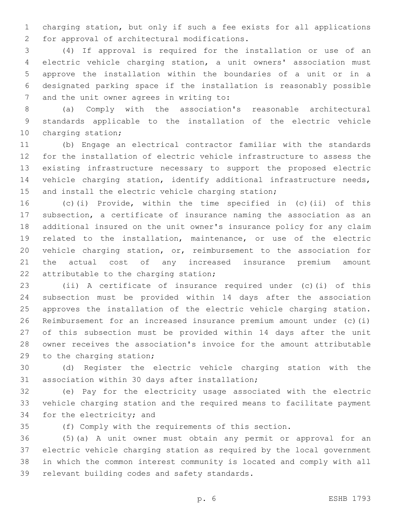charging station, but only if such a fee exists for all applications 2 for approval of architectural modifications.

 (4) If approval is required for the installation or use of an electric vehicle charging station, a unit owners' association must approve the installation within the boundaries of a unit or in a designated parking space if the installation is reasonably possible 7 and the unit owner agrees in writing to:

 (a) Comply with the association's reasonable architectural standards applicable to the installation of the electric vehicle 10 charging station;

 (b) Engage an electrical contractor familiar with the standards for the installation of electric vehicle infrastructure to assess the existing infrastructure necessary to support the proposed electric 14 vehicle charging station, identify additional infrastructure needs, 15 and install the electric vehicle charging station;

 (c)(i) Provide, within the time specified in (c)(ii) of this subsection, a certificate of insurance naming the association as an additional insured on the unit owner's insurance policy for any claim related to the installation, maintenance, or use of the electric vehicle charging station, or, reimbursement to the association for the actual cost of any increased insurance premium amount 22 attributable to the charging station;

 (ii) A certificate of insurance required under (c)(i) of this subsection must be provided within 14 days after the association approves the installation of the electric vehicle charging station. Reimbursement for an increased insurance premium amount under (c)(i) of this subsection must be provided within 14 days after the unit owner receives the association's invoice for the amount attributable 29 to the charging station;

 (d) Register the electric vehicle charging station with the 31 association within 30 days after installation;

 (e) Pay for the electricity usage associated with the electric vehicle charging station and the required means to facilitate payment 34 for the electricity; and

(f) Comply with the requirements of this section.

 (5)(a) A unit owner must obtain any permit or approval for an electric vehicle charging station as required by the local government in which the common interest community is located and comply with all 39 relevant building codes and safety standards.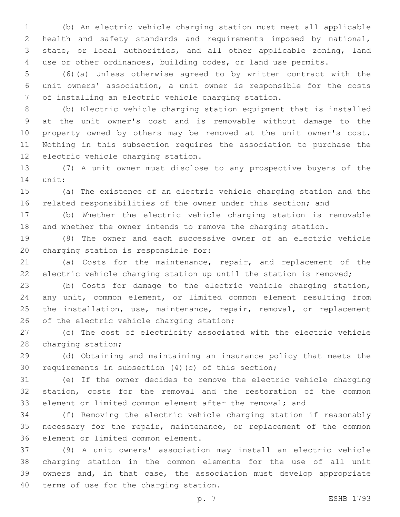(b) An electric vehicle charging station must meet all applicable health and safety standards and requirements imposed by national, state, or local authorities, and all other applicable zoning, land use or other ordinances, building codes, or land use permits.

 (6)(a) Unless otherwise agreed to by written contract with the unit owners' association, a unit owner is responsible for the costs of installing an electric vehicle charging station.

 (b) Electric vehicle charging station equipment that is installed at the unit owner's cost and is removable without damage to the property owned by others may be removed at the unit owner's cost. Nothing in this subsection requires the association to purchase the 12 electric vehicle charging station.

 (7) A unit owner must disclose to any prospective buyers of the 14 unit:

 (a) The existence of an electric vehicle charging station and the related responsibilities of the owner under this section; and

 (b) Whether the electric vehicle charging station is removable and whether the owner intends to remove the charging station.

 (8) The owner and each successive owner of an electric vehicle 20 charging station is responsible for:

 (a) Costs for the maintenance, repair, and replacement of the electric vehicle charging station up until the station is removed;

 (b) Costs for damage to the electric vehicle charging station, any unit, common element, or limited common element resulting from 25 the installation, use, maintenance, repair, removal, or replacement 26 of the electric vehicle charging station;

 (c) The cost of electricity associated with the electric vehicle 28 charging station;

 (d) Obtaining and maintaining an insurance policy that meets the requirements in subsection (4)(c) of this section;

 (e) If the owner decides to remove the electric vehicle charging station, costs for the removal and the restoration of the common element or limited common element after the removal; and

 (f) Removing the electric vehicle charging station if reasonably 35 necessary for the repair, maintenance, or replacement of the common 36 element or limited common element.

 (9) A unit owners' association may install an electric vehicle charging station in the common elements for the use of all unit owners and, in that case, the association must develop appropriate 40 terms of use for the charging station.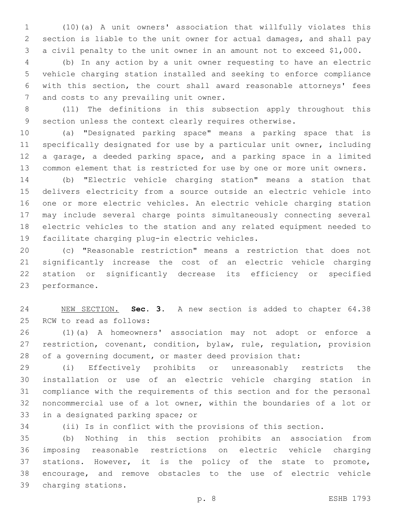(10)(a) A unit owners' association that willfully violates this section is liable to the unit owner for actual damages, and shall pay a civil penalty to the unit owner in an amount not to exceed \$1,000.

 (b) In any action by a unit owner requesting to have an electric vehicle charging station installed and seeking to enforce compliance with this section, the court shall award reasonable attorneys' fees 7 and costs to any prevailing unit owner.

 (11) The definitions in this subsection apply throughout this section unless the context clearly requires otherwise.

 (a) "Designated parking space" means a parking space that is specifically designated for use by a particular unit owner, including a garage, a deeded parking space, and a parking space in a limited common element that is restricted for use by one or more unit owners.

 (b) "Electric vehicle charging station" means a station that delivers electricity from a source outside an electric vehicle into one or more electric vehicles. An electric vehicle charging station may include several charge points simultaneously connecting several electric vehicles to the station and any related equipment needed to 19 facilitate charging plug-in electric vehicles.

 (c) "Reasonable restriction" means a restriction that does not significantly increase the cost of an electric vehicle charging station or significantly decrease its efficiency or specified 23 performance.

 NEW SECTION. **Sec. 3.** A new section is added to chapter 64.38 25 RCW to read as follows:

 (1)(a) A homeowners' association may not adopt or enforce a restriction, covenant, condition, bylaw, rule, regulation, provision of a governing document, or master deed provision that:

 (i) Effectively prohibits or unreasonably restricts the installation or use of an electric vehicle charging station in compliance with the requirements of this section and for the personal noncommercial use of a lot owner, within the boundaries of a lot or 33 in a designated parking space; or

(ii) Is in conflict with the provisions of this section.

 (b) Nothing in this section prohibits an association from imposing reasonable restrictions on electric vehicle charging stations. However, it is the policy of the state to promote, encourage, and remove obstacles to the use of electric vehicle charging stations.39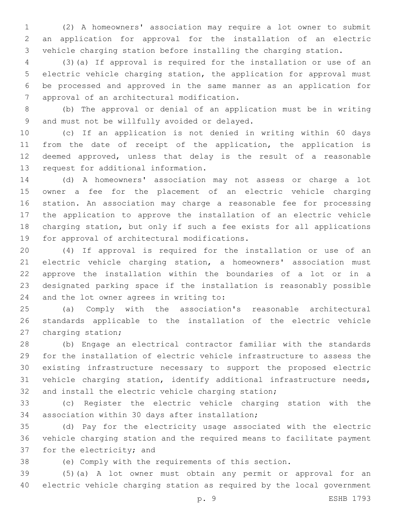(2) A homeowners' association may require a lot owner to submit an application for approval for the installation of an electric vehicle charging station before installing the charging station.

 (3)(a) If approval is required for the installation or use of an electric vehicle charging station, the application for approval must be processed and approved in the same manner as an application for 7 approval of an architectural modification.

 (b) The approval or denial of an application must be in writing 9 and must not be willfully avoided or delayed.

 (c) If an application is not denied in writing within 60 days from the date of receipt of the application, the application is deemed approved, unless that delay is the result of a reasonable 13 request for additional information.

 (d) A homeowners' association may not assess or charge a lot owner a fee for the placement of an electric vehicle charging station. An association may charge a reasonable fee for processing the application to approve the installation of an electric vehicle charging station, but only if such a fee exists for all applications 19 for approval of architectural modifications.

 (4) If approval is required for the installation or use of an electric vehicle charging station, a homeowners' association must approve the installation within the boundaries of a lot or in a designated parking space if the installation is reasonably possible 24 and the lot owner agrees in writing to:

 (a) Comply with the association's reasonable architectural standards applicable to the installation of the electric vehicle 27 charging station;

 (b) Engage an electrical contractor familiar with the standards for the installation of electric vehicle infrastructure to assess the existing infrastructure necessary to support the proposed electric vehicle charging station, identify additional infrastructure needs, and install the electric vehicle charging station;

 (c) Register the electric vehicle charging station with the 34 association within 30 days after installation;

 (d) Pay for the electricity usage associated with the electric vehicle charging station and the required means to facilitate payment 37 for the electricity; and

(e) Comply with the requirements of this section.

 (5)(a) A lot owner must obtain any permit or approval for an electric vehicle charging station as required by the local government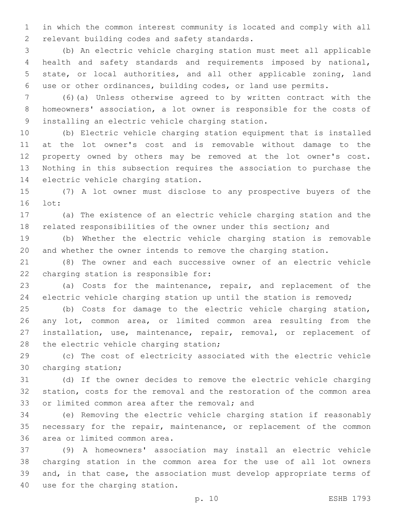in which the common interest community is located and comply with all 2 relevant building codes and safety standards.

 (b) An electric vehicle charging station must meet all applicable health and safety standards and requirements imposed by national, state, or local authorities, and all other applicable zoning, land use or other ordinances, building codes, or land use permits.

 (6)(a) Unless otherwise agreed to by written contract with the homeowners' association, a lot owner is responsible for the costs of 9 installing an electric vehicle charging station.

 (b) Electric vehicle charging station equipment that is installed at the lot owner's cost and is removable without damage to the property owned by others may be removed at the lot owner's cost. Nothing in this subsection requires the association to purchase the 14 electric vehicle charging station.

 (7) A lot owner must disclose to any prospective buyers of the 16 lot:

 (a) The existence of an electric vehicle charging station and the related responsibilities of the owner under this section; and

 (b) Whether the electric vehicle charging station is removable and whether the owner intends to remove the charging station.

 (8) The owner and each successive owner of an electric vehicle 22 charging station is responsible for:

 (a) Costs for the maintenance, repair, and replacement of the electric vehicle charging station up until the station is removed;

 (b) Costs for damage to the electric vehicle charging station, any lot, common area, or limited common area resulting from the installation, use, maintenance, repair, removal, or replacement of 28 the electric vehicle charging station;

 (c) The cost of electricity associated with the electric vehicle 30 charging station;

 (d) If the owner decides to remove the electric vehicle charging station, costs for the removal and the restoration of the common area 33 or limited common area after the removal; and

 (e) Removing the electric vehicle charging station if reasonably 35 necessary for the repair, maintenance, or replacement of the common 36 area or limited common area.

 (9) A homeowners' association may install an electric vehicle charging station in the common area for the use of all lot owners and, in that case, the association must develop appropriate terms of 40 use for the charging station.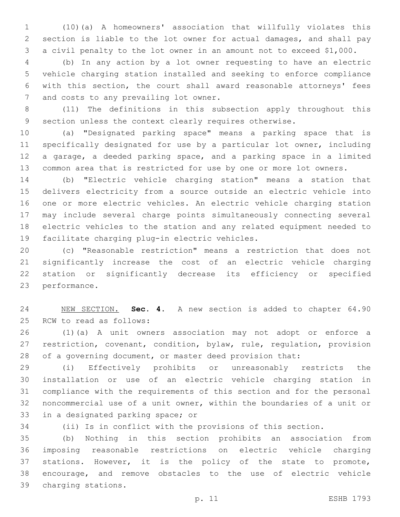(10)(a) A homeowners' association that willfully violates this section is liable to the lot owner for actual damages, and shall pay a civil penalty to the lot owner in an amount not to exceed \$1,000.

 (b) In any action by a lot owner requesting to have an electric vehicle charging station installed and seeking to enforce compliance with this section, the court shall award reasonable attorneys' fees 7 and costs to any prevailing lot owner.

 (11) The definitions in this subsection apply throughout this section unless the context clearly requires otherwise.

 (a) "Designated parking space" means a parking space that is specifically designated for use by a particular lot owner, including a garage, a deeded parking space, and a parking space in a limited common area that is restricted for use by one or more lot owners.

 (b) "Electric vehicle charging station" means a station that delivers electricity from a source outside an electric vehicle into one or more electric vehicles. An electric vehicle charging station may include several charge points simultaneously connecting several electric vehicles to the station and any related equipment needed to 19 facilitate charging plug-in electric vehicles.

 (c) "Reasonable restriction" means a restriction that does not significantly increase the cost of an electric vehicle charging station or significantly decrease its efficiency or specified 23 performance.

 NEW SECTION. **Sec. 4.** A new section is added to chapter 64.90 25 RCW to read as follows:

 (1)(a) A unit owners association may not adopt or enforce a restriction, covenant, condition, bylaw, rule, regulation, provision of a governing document, or master deed provision that:

 (i) Effectively prohibits or unreasonably restricts the installation or use of an electric vehicle charging station in compliance with the requirements of this section and for the personal noncommercial use of a unit owner, within the boundaries of a unit or 33 in a designated parking space; or

(ii) Is in conflict with the provisions of this section.

 (b) Nothing in this section prohibits an association from imposing reasonable restrictions on electric vehicle charging stations. However, it is the policy of the state to promote, encourage, and remove obstacles to the use of electric vehicle charging stations.39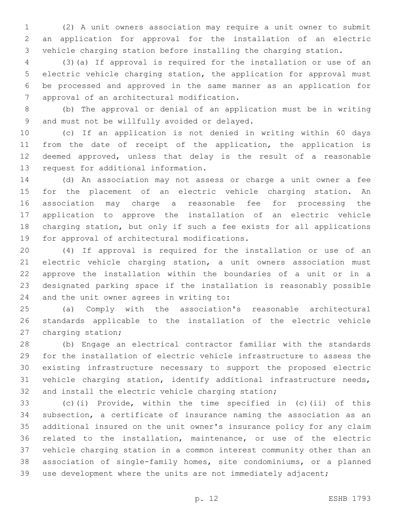(2) A unit owners association may require a unit owner to submit an application for approval for the installation of an electric vehicle charging station before installing the charging station.

 (3)(a) If approval is required for the installation or use of an electric vehicle charging station, the application for approval must be processed and approved in the same manner as an application for 7 approval of an architectural modification.

 (b) The approval or denial of an application must be in writing 9 and must not be willfully avoided or delayed.

 (c) If an application is not denied in writing within 60 days from the date of receipt of the application, the application is deemed approved, unless that delay is the result of a reasonable 13 request for additional information.

 (d) An association may not assess or charge a unit owner a fee for the placement of an electric vehicle charging station. An association may charge a reasonable fee for processing the application to approve the installation of an electric vehicle charging station, but only if such a fee exists for all applications 19 for approval of architectural modifications.

 (4) If approval is required for the installation or use of an electric vehicle charging station, a unit owners association must approve the installation within the boundaries of a unit or in a designated parking space if the installation is reasonably possible 24 and the unit owner agrees in writing to:

 (a) Comply with the association's reasonable architectural standards applicable to the installation of the electric vehicle 27 charging station;

 (b) Engage an electrical contractor familiar with the standards for the installation of electric vehicle infrastructure to assess the existing infrastructure necessary to support the proposed electric vehicle charging station, identify additional infrastructure needs, and install the electric vehicle charging station;

 (c)(i) Provide, within the time specified in (c)(ii) of this subsection, a certificate of insurance naming the association as an additional insured on the unit owner's insurance policy for any claim related to the installation, maintenance, or use of the electric vehicle charging station in a common interest community other than an association of single-family homes, site condominiums, or a planned use development where the units are not immediately adjacent;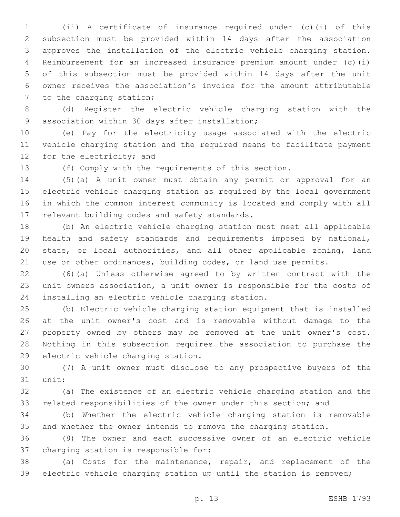(ii) A certificate of insurance required under (c)(i) of this subsection must be provided within 14 days after the association approves the installation of the electric vehicle charging station. Reimbursement for an increased insurance premium amount under (c)(i) of this subsection must be provided within 14 days after the unit owner receives the association's invoice for the amount attributable 7 to the charging station;

 (d) Register the electric vehicle charging station with the 9 association within 30 days after installation;

 (e) Pay for the electricity usage associated with the electric vehicle charging station and the required means to facilitate payment 12 for the electricity; and

(f) Comply with the requirements of this section.

 (5)(a) A unit owner must obtain any permit or approval for an electric vehicle charging station as required by the local government in which the common interest community is located and comply with all 17 relevant building codes and safety standards.

 (b) An electric vehicle charging station must meet all applicable health and safety standards and requirements imposed by national, state, or local authorities, and all other applicable zoning, land use or other ordinances, building codes, or land use permits.

 (6)(a) Unless otherwise agreed to by written contract with the unit owners association, a unit owner is responsible for the costs of 24 installing an electric vehicle charging station.

 (b) Electric vehicle charging station equipment that is installed at the unit owner's cost and is removable without damage to the property owned by others may be removed at the unit owner's cost. Nothing in this subsection requires the association to purchase the 29 electric vehicle charging station.

 (7) A unit owner must disclose to any prospective buyers of the 31 unit:

 (a) The existence of an electric vehicle charging station and the related responsibilities of the owner under this section; and

 (b) Whether the electric vehicle charging station is removable and whether the owner intends to remove the charging station.

 (8) The owner and each successive owner of an electric vehicle 37 charging station is responsible for:

 (a) Costs for the maintenance, repair, and replacement of the electric vehicle charging station up until the station is removed;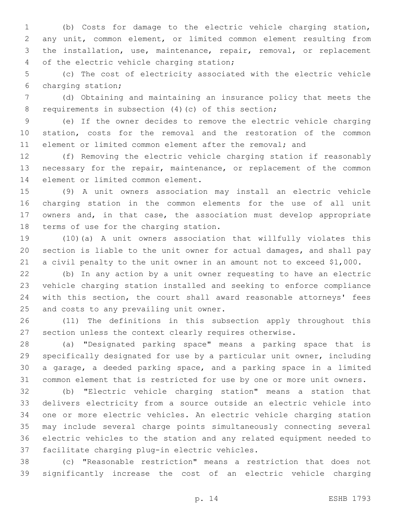(b) Costs for damage to the electric vehicle charging station, any unit, common element, or limited common element resulting from the installation, use, maintenance, repair, removal, or replacement 4 of the electric vehicle charging station;

 (c) The cost of electricity associated with the electric vehicle 6 charging station;

 (d) Obtaining and maintaining an insurance policy that meets the 8 requirements in subsection (4)(c) of this section;

 (e) If the owner decides to remove the electric vehicle charging station, costs for the removal and the restoration of the common element or limited common element after the removal; and

 (f) Removing the electric vehicle charging station if reasonably necessary for the repair, maintenance, or replacement of the common 14 element or limited common element.

 (9) A unit owners association may install an electric vehicle charging station in the common elements for the use of all unit owners and, in that case, the association must develop appropriate 18 terms of use for the charging station.

 (10)(a) A unit owners association that willfully violates this section is liable to the unit owner for actual damages, and shall pay a civil penalty to the unit owner in an amount not to exceed \$1,000.

 (b) In any action by a unit owner requesting to have an electric vehicle charging station installed and seeking to enforce compliance with this section, the court shall award reasonable attorneys' fees 25 and costs to any prevailing unit owner.

 (11) The definitions in this subsection apply throughout this section unless the context clearly requires otherwise.

 (a) "Designated parking space" means a parking space that is specifically designated for use by a particular unit owner, including a garage, a deeded parking space, and a parking space in a limited common element that is restricted for use by one or more unit owners.

 (b) "Electric vehicle charging station" means a station that delivers electricity from a source outside an electric vehicle into one or more electric vehicles. An electric vehicle charging station may include several charge points simultaneously connecting several electric vehicles to the station and any related equipment needed to 37 facilitate charging plug-in electric vehicles.

 (c) "Reasonable restriction" means a restriction that does not significantly increase the cost of an electric vehicle charging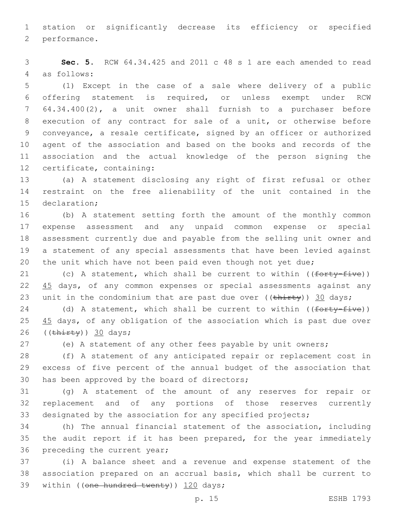1 station or significantly decrease its efficiency or specified 2 performance.

3 **Sec. 5.** RCW 64.34.425 and 2011 c 48 s 1 are each amended to read 4 as follows:

 (1) Except in the case of a sale where delivery of a public offering statement is required, or unless exempt under RCW 64.34.400(2), a unit owner shall furnish to a purchaser before execution of any contract for sale of a unit, or otherwise before conveyance, a resale certificate, signed by an officer or authorized agent of the association and based on the books and records of the association and the actual knowledge of the person signing the 12 certificate, containing:

13 (a) A statement disclosing any right of first refusal or other 14 restraint on the free alienability of the unit contained in the 15 declaration;

 (b) A statement setting forth the amount of the monthly common expense assessment and any unpaid common expense or special assessment currently due and payable from the selling unit owner and a statement of any special assessments that have been levied against 20 the unit which have not been paid even though not yet due;

21 (c) A statement, which shall be current to within  $((forty-five))$ 22 45 days, of any common expenses or special assessments against any 23 unit in the condominium that are past due over  $((\text{thirty}))$  30 days;

24 (d) A statement, which shall be current to within ((forty-five)) 25 45 days, of any obligation of the association which is past due over 26  $((\overline{\text{thirty}}))$  30 days;

27 (e) A statement of any other fees payable by unit owners;

28 (f) A statement of any anticipated repair or replacement cost in 29 excess of five percent of the annual budget of the association that 30 has been approved by the board of directors;

31 (g) A statement of the amount of any reserves for repair or 32 replacement and of any portions of those reserves currently 33 designated by the association for any specified projects;

34 (h) The annual financial statement of the association, including 35 the audit report if it has been prepared, for the year immediately 36 preceding the current year;

37 (i) A balance sheet and a revenue and expense statement of the 38 association prepared on an accrual basis, which shall be current to 39 within ((one hundred twenty)) 120 days;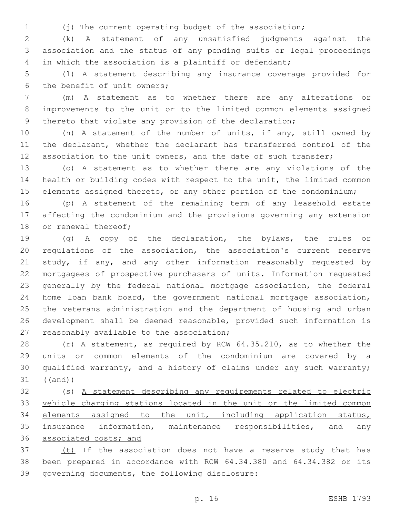(j) The current operating budget of the association;

 (k) A statement of any unsatisfied judgments against the association and the status of any pending suits or legal proceedings in which the association is a plaintiff or defendant;

 (l) A statement describing any insurance coverage provided for 6 the benefit of unit owners;

 (m) A statement as to whether there are any alterations or improvements to the unit or to the limited common elements assigned 9 thereto that violate any provision of the declaration;

 (n) A statement of the number of units, if any, still owned by the declarant, whether the declarant has transferred control of the 12 association to the unit owners, and the date of such transfer;

 (o) A statement as to whether there are any violations of the health or building codes with respect to the unit, the limited common elements assigned thereto, or any other portion of the condominium;

 (p) A statement of the remaining term of any leasehold estate affecting the condominium and the provisions governing any extension 18 or renewal thereof;

 (q) A copy of the declaration, the bylaws, the rules or regulations of the association, the association's current reserve 21 study, if any, and any other information reasonably requested by mortgagees of prospective purchasers of units. Information requested generally by the federal national mortgage association, the federal home loan bank board, the government national mortgage association, the veterans administration and the department of housing and urban development shall be deemed reasonable, provided such information is 27 reasonably available to the association;

 (r) A statement, as required by RCW 64.35.210, as to whether the units or common elements of the condominium are covered by a qualified warranty, and a history of claims under any such warranty; ((and))

 (s) A statement describing any requirements related to electric vehicle charging stations located in the unit or the limited common elements assigned to the unit, including application status, 35 insurance information, maintenance responsibilities, and any associated costs; and

37 (t) If the association does not have a reserve study that has been prepared in accordance with RCW 64.34.380 and 64.34.382 or its 39 governing documents, the following disclosure: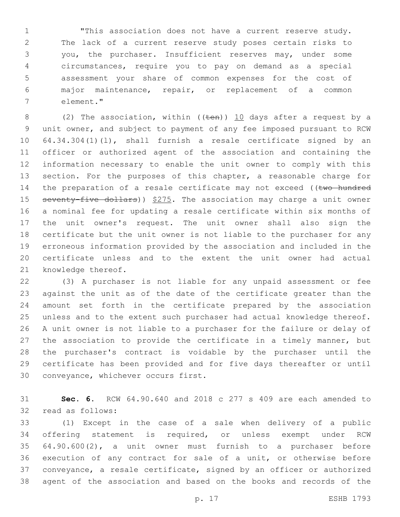"This association does not have a current reserve study. The lack of a current reserve study poses certain risks to you, the purchaser. Insufficient reserves may, under some circumstances, require you to pay on demand as a special assessment your share of common expenses for the cost of major maintenance, repair, or replacement of a common element."7

8 (2) The association, within (( $t$ en))  $10$  days after a request by a unit owner, and subject to payment of any fee imposed pursuant to RCW 64.34.304(1)(l), shall furnish a resale certificate signed by an officer or authorized agent of the association and containing the information necessary to enable the unit owner to comply with this 13 section. For the purposes of this chapter, a reasonable charge for 14 the preparation of a resale certificate may not exceed ((two hundred 15 seventy-five dollars)) \$275. The association may charge a unit owner a nominal fee for updating a resale certificate within six months of the unit owner's request. The unit owner shall also sign the certificate but the unit owner is not liable to the purchaser for any erroneous information provided by the association and included in the certificate unless and to the extent the unit owner had actual 21 knowledge thereof.

 (3) A purchaser is not liable for any unpaid assessment or fee against the unit as of the date of the certificate greater than the amount set forth in the certificate prepared by the association unless and to the extent such purchaser had actual knowledge thereof. A unit owner is not liable to a purchaser for the failure or delay of the association to provide the certificate in a timely manner, but the purchaser's contract is voidable by the purchaser until the certificate has been provided and for five days thereafter or until 30 conveyance, whichever occurs first.

 **Sec. 6.** RCW 64.90.640 and 2018 c 277 s 409 are each amended to 32 read as follows:

 (1) Except in the case of a sale when delivery of a public offering statement is required, or unless exempt under RCW 64.90.600(2), a unit owner must furnish to a purchaser before execution of any contract for sale of a unit, or otherwise before conveyance, a resale certificate, signed by an officer or authorized agent of the association and based on the books and records of the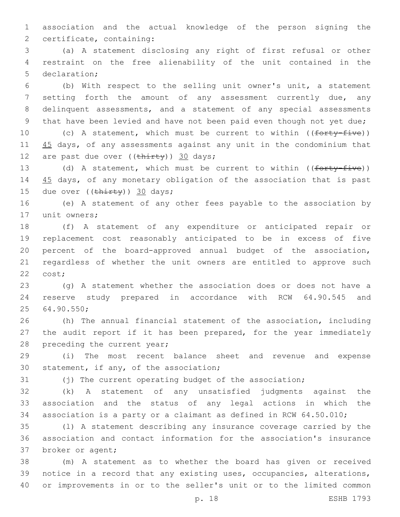1 association and the actual knowledge of the person signing the 2 certificate, containing:

3 (a) A statement disclosing any right of first refusal or other 4 restraint on the free alienability of the unit contained in the 5 declaration;

 (b) With respect to the selling unit owner's unit, a statement 7 setting forth the amount of any assessment currently due, any delinquent assessments, and a statement of any special assessments that have been levied and have not been paid even though not yet due;

10 (c) A statement, which must be current to within ((forty-five)) 11 45 days, of any assessments against any unit in the condominium that 12 are past due over  $((\text{thirty}))$  30 days;

13 (d) A statement, which must be current to within ((forty-five)) 14 45 days, of any monetary obligation of the association that is past 15 due over  $((\text{thirty})$ ) 30 days;

16 (e) A statement of any other fees payable to the association by 17 unit owners;

 (f) A statement of any expenditure or anticipated repair or replacement cost reasonably anticipated to be in excess of five percent of the board-approved annual budget of the association, regardless of whether the unit owners are entitled to approve such 22 cost;

23 (g) A statement whether the association does or does not have a 24 reserve study prepared in accordance with RCW 64.90.545 and 64.90.550;25

26 (h) The annual financial statement of the association, including 27 the audit report if it has been prepared, for the year immediately 28 preceding the current year;

29 (i) The most recent balance sheet and revenue and expense 30 statement, if any, of the association;

31 (j) The current operating budget of the association;

32 (k) A statement of any unsatisfied judgments against the 33 association and the status of any legal actions in which the 34 association is a party or a claimant as defined in RCW 64.50.010;

35 (l) A statement describing any insurance coverage carried by the 36 association and contact information for the association's insurance 37 broker or agent;

38 (m) A statement as to whether the board has given or received 39 notice in a record that any existing uses, occupancies, alterations, 40 or improvements in or to the seller's unit or to the limited common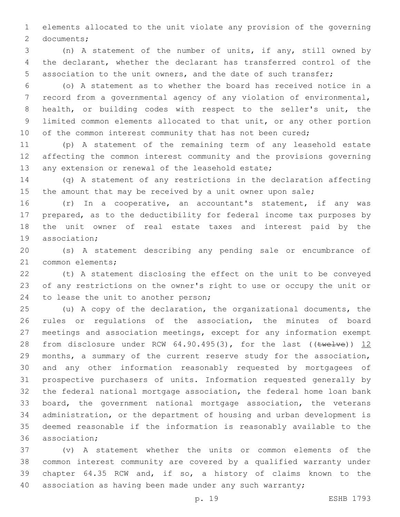elements allocated to the unit violate any provision of the governing 2 documents;

 (n) A statement of the number of units, if any, still owned by the declarant, whether the declarant has transferred control of the association to the unit owners, and the date of such transfer;

 (o) A statement as to whether the board has received notice in a record from a governmental agency of any violation of environmental, health, or building codes with respect to the seller's unit, the limited common elements allocated to that unit, or any other portion 10 of the common interest community that has not been cured;

 (p) A statement of the remaining term of any leasehold estate affecting the common interest community and the provisions governing 13 any extension or renewal of the leasehold estate;

 (q) A statement of any restrictions in the declaration affecting 15 the amount that may be received by a unit owner upon sale;

 (r) In a cooperative, an accountant's statement, if any was prepared, as to the deductibility for federal income tax purposes by the unit owner of real estate taxes and interest paid by the 19 association:

 (s) A statement describing any pending sale or encumbrance of 21 common elements;

 (t) A statement disclosing the effect on the unit to be conveyed of any restrictions on the owner's right to use or occupy the unit or 24 to lease the unit to another person;

 (u) A copy of the declaration, the organizational documents, the rules or regulations of the association, the minutes of board meetings and association meetings, except for any information exempt 28 from disclosure under RCW  $64.90.495(3)$ , for the last (( $tweIve$ )) 12 months, a summary of the current reserve study for the association, and any other information reasonably requested by mortgagees of prospective purchasers of units. Information requested generally by the federal national mortgage association, the federal home loan bank board, the government national mortgage association, the veterans administration, or the department of housing and urban development is deemed reasonable if the information is reasonably available to the 36 association;

 (v) A statement whether the units or common elements of the common interest community are covered by a qualified warranty under chapter 64.35 RCW and, if so, a history of claims known to the 40 association as having been made under any such warranty;